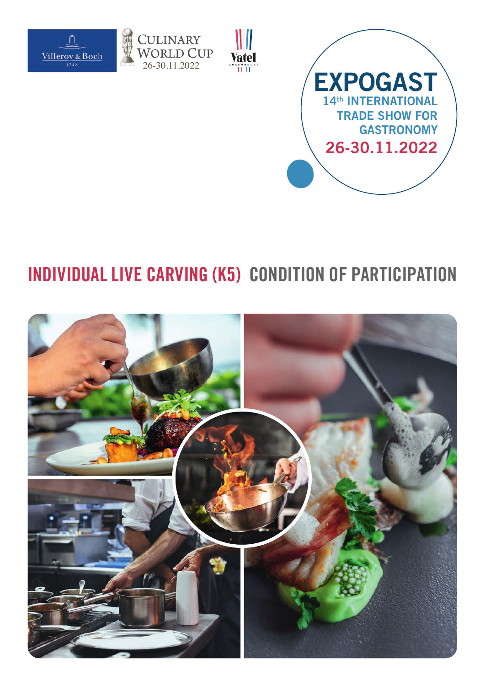





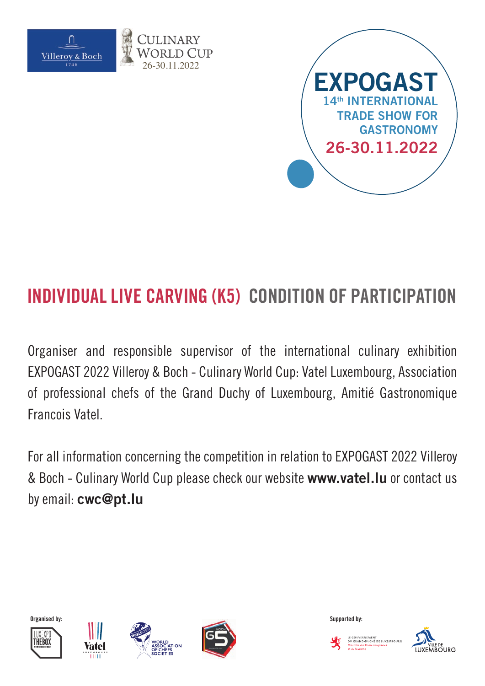



Organiser and responsible supervisor of the international culinary exhibition EXPOGAST 2022 Villeroy & Boch - Culinary World Cup: Vatel Luxembourg, Association of professional chefs of the Grand Duchy of Luxembourg, Amitié Gastronomique Francois Vatel.

For all information concerning the competition in relation to EXPOGAST 2022 Villeroy & Boch - Culinary World Cup please check our website **www.vatel.lu** or contact us by email: **cwc@pt.lu**











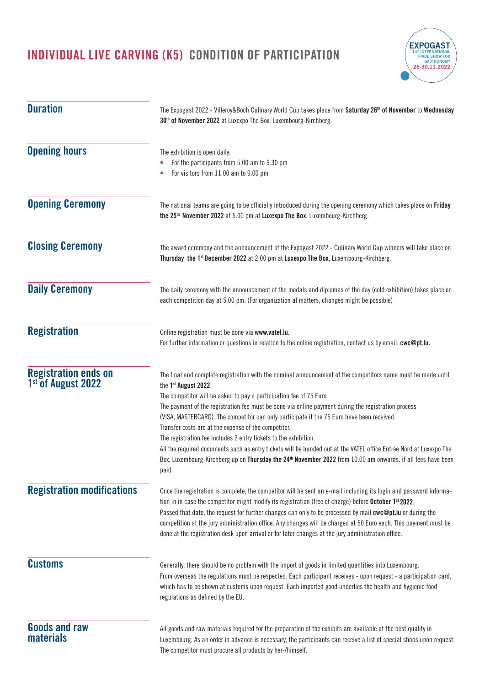

| <b>Duration</b>                                               | The Expogast 2022 - Villeroy&Boch Culinary World Cup takes place from Saturday 26 <sup>th</sup> of November to Wednesday<br>30 <sup>th</sup> of November 2022 at Luxexpo The Box, Luxembourg-Kirchberg.                                                                                                                                                                                                                                                                                                                                                                                                                                                                                                                                                                                                 |
|---------------------------------------------------------------|---------------------------------------------------------------------------------------------------------------------------------------------------------------------------------------------------------------------------------------------------------------------------------------------------------------------------------------------------------------------------------------------------------------------------------------------------------------------------------------------------------------------------------------------------------------------------------------------------------------------------------------------------------------------------------------------------------------------------------------------------------------------------------------------------------|
| <b>Opening hours</b>                                          | The exhibition is open daily:<br>For the participants from 5.00 am to 9.30 pm<br>For visitors from 11.00 am to 9.00 pm                                                                                                                                                                                                                                                                                                                                                                                                                                                                                                                                                                                                                                                                                  |
| <b>Opening Ceremony</b>                                       | The national teams are going to be officially introduced during the opening ceremony which takes place on Friday<br>the 25 <sup>th</sup> November 2022 at 5.00 pm at Luxexpo The Box, Luxembourg-Kirchberg.                                                                                                                                                                                                                                                                                                                                                                                                                                                                                                                                                                                             |
| <b>Closing Ceremony</b>                                       | The award ceremony and the announcement of the Expogast 2022 - Culinary World Cup winners will take place on<br>Thursday the 1 <sup>st</sup> December 2022 at 2:00 pm at Luxexpo The Box, Luxembourg-Kirchberg.                                                                                                                                                                                                                                                                                                                                                                                                                                                                                                                                                                                         |
| <b>Daily Ceremony</b>                                         | The daily ceremony with the announcement of the medals and diplomas of the day (cold exhibition) takes place on<br>each competition day at 5.00 pm. (For organization al matters, changes might be possible)                                                                                                                                                                                                                                                                                                                                                                                                                                                                                                                                                                                            |
| <b>Registration</b>                                           | Online registration must be done via www.vatel.lu.<br>For further information or questions in relation to the online registration, contact us by email: cwc@pt.lu.                                                                                                                                                                                                                                                                                                                                                                                                                                                                                                                                                                                                                                      |
| <b>Registration ends on</b><br>1 <sup>st</sup> of August 2022 | The final and complete registration with the nominal announcement of the competitors name must be made until<br>the 1st August 2022.<br>The competitor will be asked to pay a participation fee of 75 Euro.<br>The payment of the registration fee must be done via online payment during the registration process<br>(VISA, MASTERCARD). The competitor can only participate if the 75 Euro have been received.<br>Transfer costs are at the expense of the competitor.<br>The registration fee includes 2 entry tickets to the exhibition.<br>All the required documents such as entry tickets will be handed out at the VATEL office Entrée Nord at Luxexpo The<br>Box, Luxembourg-Kirchberg up on Thursday the 24 <sup>th</sup> November 2022 from 10.00 am onwards, if all fees have been<br>paid. |
| <b>Registration modifications</b>                             | Once the registration is complete, the competitor will be sent an e-mail including its login and password informa-<br>tion in in case the competitor might modify its registration (free of charge) before October 1 <sup>st</sup> 2022.<br>Passed that date, the request for further changes can only to be processed by mail cwc@pt.lu or during the<br>competition at the jury administration office. Any changes will be charged at 50 Euro each. This payment must be<br>done at the registration desk upon arrival or for later changes at the jury administration office.                                                                                                                                                                                                                        |
| <b>Customs</b>                                                | Generally, there should be no problem with the import of goods in limited quantities into Luxembourg.<br>From overseas the regulations must be respected. Each participant receives - upon request - a participation card,<br>which has to be shown at customs upon request. Each imported good underlies the health and hygienic food<br>regulations as defined by the EU.                                                                                                                                                                                                                                                                                                                                                                                                                             |
| <b>Goods and raw</b><br><b>materials</b>                      | All goods and raw materials required for the preparation of the exhibits are available at the best quality in<br>Luxembourg. As an order in advance is necessary, the participants can receive a list of special shops upon request.<br>The competitor must procure all products by her-/himself.                                                                                                                                                                                                                                                                                                                                                                                                                                                                                                       |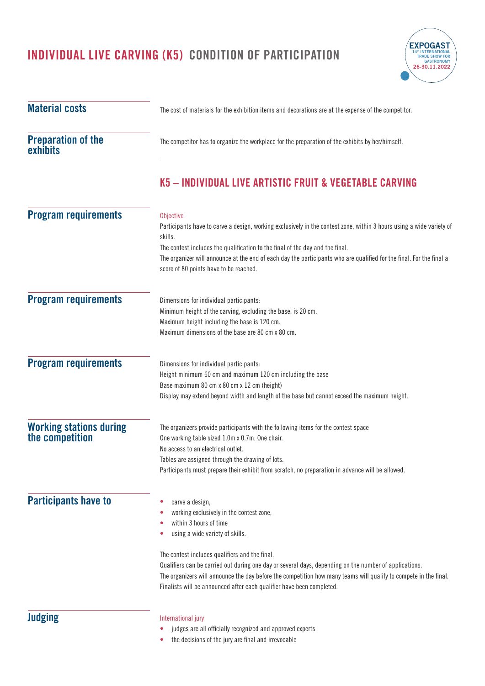

| <b>Material costs</b>                             | The cost of materials for the exhibition items and decorations are at the expense of the competitor.                                                                                                                                                                                                                                                                                                                                                                                        |  |
|---------------------------------------------------|---------------------------------------------------------------------------------------------------------------------------------------------------------------------------------------------------------------------------------------------------------------------------------------------------------------------------------------------------------------------------------------------------------------------------------------------------------------------------------------------|--|
| <b>Preparation of the</b><br>exhibits             | The competitor has to organize the workplace for the preparation of the exhibits by her/himself.                                                                                                                                                                                                                                                                                                                                                                                            |  |
|                                                   | K5 - INDIVIDUAL LIVE ARTISTIC FRUIT & VEGETABLE CARVING                                                                                                                                                                                                                                                                                                                                                                                                                                     |  |
| <b>Program requirements</b>                       | Objective<br>Participants have to carve a design, working exclusively in the contest zone, within 3 hours using a wide variety of<br>skills.<br>The contest includes the qualification to the final of the day and the final.<br>The organizer will announce at the end of each day the participants who are qualified for the final. For the final a<br>score of 80 points have to be reached.                                                                                             |  |
| <b>Program requirements</b>                       | Dimensions for individual participants:<br>Minimum height of the carving, excluding the base, is 20 cm.<br>Maximum height including the base is 120 cm.<br>Maximum dimensions of the base are 80 cm x 80 cm.                                                                                                                                                                                                                                                                                |  |
| <b>Program requirements</b>                       | Dimensions for individual participants:<br>Height minimum 60 cm and maximum 120 cm including the base<br>Base maximum 80 cm x 80 cm x 12 cm (height)<br>Display may extend beyond width and length of the base but cannot exceed the maximum height.                                                                                                                                                                                                                                        |  |
| <b>Working stations during</b><br>the competition | The organizers provide participants with the following items for the contest space<br>One working table sized 1.0m x 0.7m. One chair.<br>No access to an electrical outlet.<br>Tables are assigned through the drawing of lots.<br>Participants must prepare their exhibit from scratch, no preparation in advance will be allowed.                                                                                                                                                         |  |
| <b>Participants have to</b>                       | carve a design,<br>۰<br>working exclusively in the contest zone,<br>within 3 hours of time<br>using a wide variety of skills.<br>۰<br>The contest includes qualifiers and the final.<br>Qualifiers can be carried out during one day or several days, depending on the number of applications.<br>The organizers will announce the day before the competition how many teams will qualify to compete in the final.<br>Finalists will be announced after each qualifier have been completed. |  |
| <b>Judging</b>                                    | International jury<br>judges are all officially recognized and approved experts<br>٠                                                                                                                                                                                                                                                                                                                                                                                                        |  |

**•** the decisions of the jury are final and irrevocable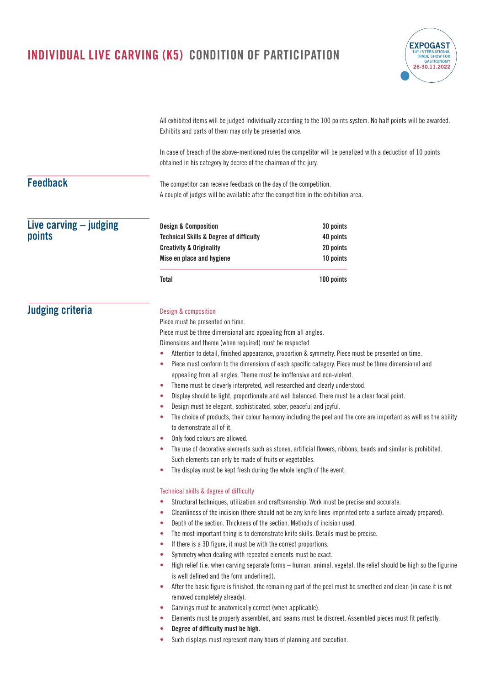

All exhibited items will be judged individually according to the 100 points system. No half points will be awarded. Exhibits and parts of them may only be presented once.

In case of breach of the above-mentioned rules the competitor will be penalized with a deduction of 10 points obtained in his category by decree of the chairman of the jury.

## **Feedback**

The competitor can receive feedback on the day of the competition. A couple of judges will be available after the competition in the exhibition area.

| Live carving $-$ judging | <b>Design &amp; Composition</b>                    | 30 points  |
|--------------------------|----------------------------------------------------|------------|
| points                   | <b>Technical Skills &amp; Degree of difficulty</b> | 40 points  |
|                          | <b>Creativity &amp; Originality</b>                | 20 points  |
|                          | Mise en place and hygiene                          | 10 points  |
|                          | Total                                              | 100 points |

## **Judging criteria**

#### Design & composition

Piece must be presented on time.

Piece must be three dimensional and appealing from all angles.

Dimensions and theme (when required) must be respected

- **•** Attention to detail, finished appearance, proportion & symmetry. Piece must be presented on time.
- **•** Piece must conform to the dimensions of each specific category. Piece must be three dimensional and appealing from all angles. Theme must be inoffensive and non-violent.
- **•** Theme must be cleverly interpreted, well researched and clearly understood.
- **•** Display should be light, proportionate and well balanced. There must be a clear focal point.
- **•** Design must be elegant, sophisticated, sober, peaceful and joyful.
- **•** The choice of products, their colour harmony including the peel and the core are important as well as the ability to demonstrate all of it.
- **•** Only food colours are allowed.
- **•** The use of decorative elements such as stones, artificial flowers, ribbons, beads and similar is prohibited. Such elements can only be made of fruits or vegetables.
- **•** The display must be kept fresh during the whole length of the event.

#### Technical skills & degree of difficulty

- **•** Structural techniques, utilization and craftsmanship. Work must be precise and accurate.
	- **•** Cleanliness of the incision (there should not be any knife lines imprinted onto a surface already prepared).
- **•** Depth of the section. Thickness of the section. Methods of incision used.
- **•** The most important thing is to demonstrate knife skills. Details must be precise.
- **•** If there is a 3D figure, it must be with the correct proportions.
- **•** Symmetry when dealing with repeated elements must be exact.
- **•** High relief (i.e. when carving separate forms human, animal, vegetal, the relief should be high so the figurine is well defined and the form underlined).
- **•** After the basic figure is finished, the remaining part of the peel must be smoothed and clean (in case it is not removed completely already).
- **•** Carvings must be anatomically correct (when applicable).
- **•** Elements must be properly assembled, and seams must be discreet. Assembled pieces must fit perfectly.
- **• Degree of difficulty must be high.**
- **•** Such displays must represent many hours of planning and execution.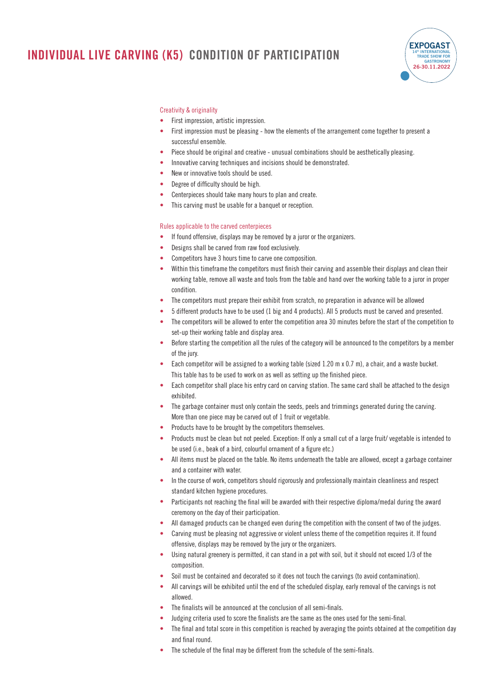

#### Creativity & originality

- **•** First impression, artistic impression.
- **•** First impression must be pleasing how the elements of the arrangement come together to present a successful ensemble.
- **•** Piece should be original and creative unusual combinations should be aesthetically pleasing.
- **•** Innovative carving techniques and incisions should be demonstrated.
- **•** New or innovative tools should be used.
- **•** Degree of difficulty should be high.
- **•** Centerpieces should take many hours to plan and create.
- **•** This carving must be usable for a banquet or reception.

#### Rules applicable to the carved centerpieces

- **•** If found offensive, displays may be removed by a juror or the organizers.
- **•** Designs shall be carved from raw food exclusively.
- **•** Competitors have 3 hours time to carve one composition.
- **•** Within this timeframe the competitors must finish their carving and assemble their displays and clean their working table, remove all waste and tools from the table and hand over the working table to a juror in proper condition.
- **•** The competitors must prepare their exhibit from scratch, no preparation in advance will be allowed
- **•** 5 different products have to be used (1 big and 4 products). All 5 products must be carved and presented.
- **•** The competitors will be allowed to enter the competition area 30 minutes before the start of the competition to set-up their working table and display area.
- **•** Before starting the competition all the rules of the category will be announced to the competitors by a member of the jury.
- **•** Each competitor will be assigned to a working table (sized 1.20 m x 0.7 m), a chair, and a waste bucket. This table has to be used to work on as well as setting up the finished piece.
- **•** Each competitor shall place his entry card on carving station. The same card shall be attached to the design exhibited.
- **•** The garbage container must only contain the seeds, peels and trimmings generated during the carving. More than one piece may be carved out of 1 fruit or vegetable.
- **•** Products have to be brought by the competitors themselves.
- **•** Products must be clean but not peeled. Exception: If only a small cut of a large fruit/ vegetable is intended to be used (i.e., beak of a bird, colourful ornament of a figure etc.)
- **•** All items must be placed on the table. No items underneath the table are allowed, except a garbage container and a container with water.
- **•** In the course of work, competitors should rigorously and professionally maintain cleanliness and respect standard kitchen hygiene procedures.
- **•** Participants not reaching the final will be awarded with their respective diploma/medal during the award ceremony on the day of their participation.
- All damaged products can be changed even during the competition with the consent of two of the judges.
- **•** Carving must be pleasing not aggressive or violent unless theme of the competition requires it. If found offensive, displays may be removed by the jury or the organizers.
- **•** Using natural greenery is permitted, it can stand in a pot with soil, but it should not exceed 1/3 of the composition.
- **•** Soil must be contained and decorated so it does not touch the carvings (to avoid contamination).
- **•** All carvings will be exhibited until the end of the scheduled display, early removal of the carvings is not allowed.
- **•** The finalists will be announced at the conclusion of all semi-finals.
- **•** Judging criteria used to score the finalists are the same as the ones used for the semi-final.
- The final and total score in this competition is reached by averaging the points obtained at the competition day and final round.
- The schedule of the final may be different from the schedule of the semi-finals.